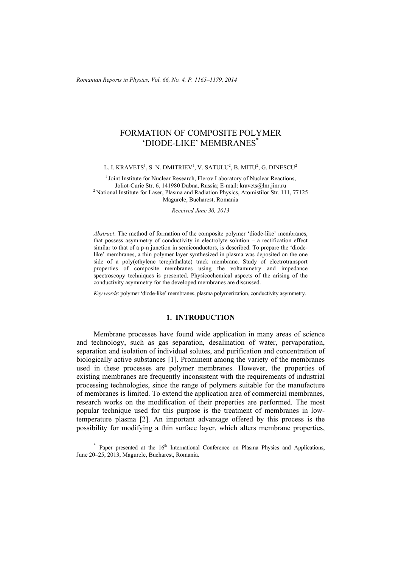# FORMATION OF COMPOSITE POLYMER 'DIODE-LIKE' MEMBRANES\*

L. I. KRAVETS $^1$ , S. N. DMITRIEV $^1$ , V. SATULU $^2$ , B. MITU $^2$ , G. DINESCU $^2$ 

<sup>1</sup> Joint Institute for Nuclear Research, Flerov Laboratory of Nuclear Reactions, Joliot-Curie Str. 6, 141980 Dubna, Russia; E-mail: kravets@lnr.jinr.ru 2 National Institute for Laser, Plasma and Radiation Physics, Atomistilor Str. 111, 77125 Magurele, Bucharest, Romania

*Received June 30, 2013* 

*Abstract*. The method of formation of the composite polymer 'diode-like' membranes, that possess asymmetry of conductivity in electrolyte solution – a rectification effect similar to that of a p-n junction in semiconductors, is described. To prepare the 'diodelike' membranes, a thin polymer layer synthesized in plasma was deposited on the one side of a poly(ethylene terephthalate) track membrane. Study of electrotransport properties of composite membranes using the voltammetry and impedance spectroscopy techniques is presented. Physicochemical aspects of the arising of the conductivity asymmetry for the developed membranes are discussed.

*Key words*: polymer 'diode-like' membranes, plasma polymerization, conductivity asymmetry.

## **1. INTRODUCTION**

Membrane processes have found wide application in many areas of science and technology, such as gas separation, desalination of water, pervaporation, separation and isolation of individual solutes, and purification and concentration of biologically active substances [1]. Prominent among the variety of the membranes used in these processes are polymer membranes. However, the properties of existing membranes are frequently inconsistent with the requirements of industrial processing technologies, since the range of polymers suitable for the manufacture of membranes is limited. To extend the application area of commercial membranes, research works on the modification of their properties are performed. The most popular technique used for this purpose is the treatment of membranes in lowtemperature plasma [2]. An important advantage offered by this process is the possibility for modifying a thin surface layer, which alters membrane properties,

 $*$  Paper presented at the  $16<sup>th</sup>$  International Conference on Plasma Physics and Applications, June 20–25, 2013, Magurele, Bucharest, Romania.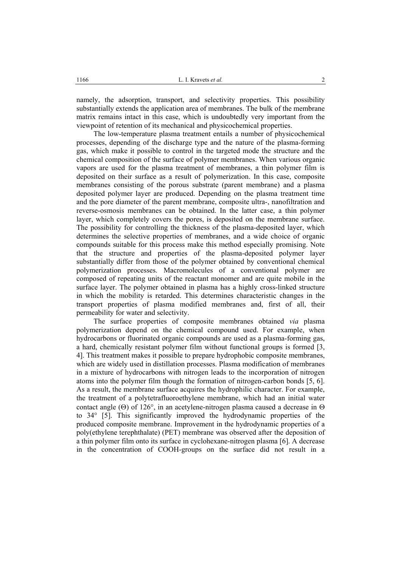namely, the adsorption, transport, and selectivity properties. This possibility substantially extends the application area of membranes. The bulk of the membrane matrix remains intact in this case, which is undoubtedly very important from the viewpoint of retention of its mechanical and physicochemical properties.

The low-temperature plasma treatment entails a number of physicochemical processes, depending of the discharge type and the nature of the plasma-forming gas, which make it possible to control in the targeted mode the structure and the chemical composition of the surface of polymer membranes. When various organic vapors are used for the plasma treatment of membranes, a thin polymer film is deposited on their surface as a result of polymerization. In this case, composite membranes consisting of the porous substrate (parent membrane) and a plasma deposited polymer layer are produced. Depending on the plasma treatment time and the pore diameter of the parent membrane, composite ultra-, nanofiltration and reverse-osmosis membranes can be obtained. In the latter case, a thin polymer layer, which completely covers the pores, is deposited on the membrane surface. The possibility for controlling the thickness of the plasma-deposited layer, which determines the selective properties of membranes, and a wide choice of organic compounds suitable for this process make this method especially promising. Note that the structure and properties of the plasma-deposited polymer layer substantially differ from those of the polymer obtained by conventional chemical polymerization processes. Macromolecules of a conventional polymer are composed of repeating units of the reactant monomer and are quite mobile in the surface layer. The polymer obtained in plasma has a highly cross-linked structure in which the mobility is retarded. This determines characteristic changes in the transport properties of plasma modified membranes and, first of all, their permeability for water and selectivity.

The surface properties of composite membranes obtained *via* plasma polymerization depend on the chemical compound used. For example, when hydrocarbons or fluorinated organic compounds are used as a plasma-forming gas, a hard, chemically resistant polymer film without functional groups is formed [3, 4]. This treatment makes it possible to prepare hydrophobic composite membranes, which are widely used in distillation processes. Plasma modification of membranes in a mixture of hydrocarbons with nitrogen leads to the incorporation of nitrogen atoms into the polymer film though the formation of nitrogen-carbon bonds [5, 6]. As a result, the membrane surface acquires the hydrophilic character. For example, the treatment of a polytetrafluoroethylene membrane, which had an initial water contact angle (Θ) of 126°, in an acetylene-nitrogen plasma caused a decrease in Θ to 34° [5]. This significantly improved the hydrodynamic properties of the produced composite membrane. Improvement in the hydrodynamic properties of a poly(ethylene terephthalate) (PET) membrane was observed after the deposition of a thin polymer film onto its surface in cyclohexane-nitrogen plasma [6]. A decrease in the concentration of COOH-groups on the surface did not result in a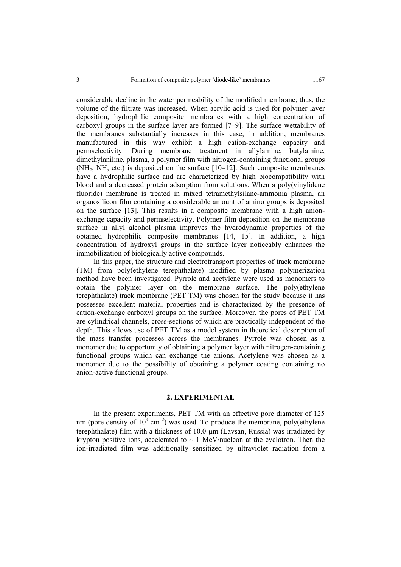considerable decline in the water permeability of the modified membrane; thus, the volume of the filtrate was increased. When acrylic acid is used for polymer layer deposition, hydrophilic composite membranes with a high concentration of carboxyl groups in the surface layer are formed [7–9]. The surface wettability of the membranes substantially increases in this case; in addition, membranes manufactured in this way exhibit a high cation-exchange capacity and permselectivity. During membrane treatment in allylamine, butylamine, dimethylaniline, plasma, a polymer film with nitrogen-containing functional groups  $(NH<sub>2</sub>, NH.$  etc.) is deposited on the surface  $[10-12]$ . Such composite membranes have a hydrophilic surface and are characterized by high biocompatibility with blood and a decreased protein adsorption from solutions. When a poly(vinylidene fluoride) membrane is treated in mixed tetramethylsilane-ammonia plasma, an organosilicon film containing a considerable amount of amino groups is deposited on the surface [13]. This results in a composite membrane with a high anionexchange capacity and permselectivity. Polymer film deposition on the membrane surface in allyl alcohol plasma improves the hydrodynamic properties of the obtained hydrophilic composite membranes [14, 15]. In addition, a high concentration of hydroxyl groups in the surface layer noticeably enhances the immobilization of biologically active compounds.

In this paper, the structure and electrotransport properties of track membrane (TM) from poly(ethylene terephthalate) modified by plasma polymerization method have been investigated. Pyrrole and acetylene were used as monomers to obtain the polymer layer on the membrane surface. The poly(ethylene terephthalate) track membrane (PET TM) was chosen for the study because it has possesses excellent material properties and is characterized by the presence of cation-exchange carboxyl groups on the surface. Moreover, the pores of PET TM are cylindrical channels, cross-sections of which are practically independent of the depth. This allows use of PET TM as a model system in theoretical description of the mass transfer processes across the membranes. Pyrrole was chosen as a monomer due to opportunity of obtaining a polymer layer with nitrogen-containing functional groups which can exchange the anions. Acetylene was chosen as a monomer due to the possibility of obtaining a polymer coating containing no anion-active functional groups.

## **2. EXPERIMENTAL**

In the present experiments, PET TM with an effective pore diameter of 125 nm (pore density of  $10^9$  cm<sup>-2</sup>) was used. To produce the membrane, poly(ethylene terephthalate) film with a thickness of 10.0 µm (Lavsan, Russia) was irradiated by krypton positive ions, accelerated to  $\sim 1$  MeV/nucleon at the cyclotron. Then the ion-irradiated film was additionally sensitized by ultraviolet radiation from a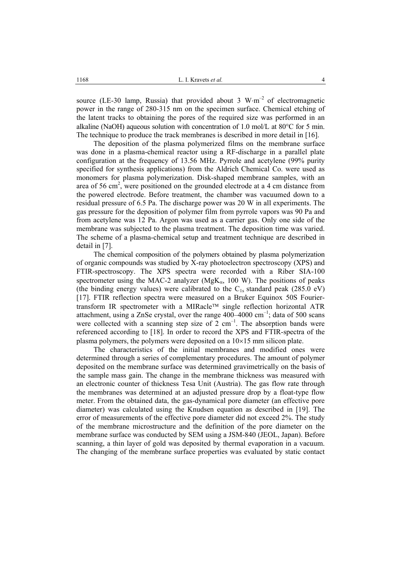source (LE-30 lamp, Russia) that provided about 3 W⋅m<sup>-2</sup> of electromagnetic power in the range of 280-315 nm on the specimen surface. Chemical etching of the latent tracks to obtaining the pores of the required size was performed in an alkaline (NaOH) aqueous solution with concentration of 1.0 mol/L at  $80^{\circ}$ C for 5 min. The technique to produce the track membranes is described in more detail in [16].

The deposition of the plasma polymerized films on the membrane surface was done in a plasma-chemical reactor using a RF-discharge in a parallel plate configuration at the frequency of 13.56 MHz. Pyrrole and acetylene (99% purity specified for synthesis applications) from the Aldrich Chemical Co. were used as monomers for plasma polymerization. Disk-shaped membrane samples, with an area of 56 cm<sup>2</sup>, were positioned on the grounded electrode at a 4 cm distance from the powered electrode. Before treatment, the chamber was vacuumed down to a residual pressure of 6.5 Pa. The discharge power was 20 W in all experiments. The gas pressure for the deposition of polymer film from pyrrole vapors was 90 Pa and from acetylene was 12 Pa. Argon was used as a carrier gas. Only one side of the membrane was subjected to the plasma treatment. The deposition time was varied. The scheme of a plasma-chemical setup and treatment technique are described in detail in [7].

The chemical composition of the polymers obtained by plasma polymerization of organic compounds was studied by X-ray photoelectron spectroscopy (XPS) and FTIR-spectroscopy. The XPS spectra were recorded with a Riber SIA-100 spectrometer using the MAC-2 analyzer ( $MgK_{\alpha}$ , 100 W). The positions of peaks (the binding energy values) were calibrated to the  $C_{1s}$  standard peak (285.0 eV) [17]. FTIR reflection spectra were measured on a Bruker Equinox 50S Fouriertransform IR spectrometer with a MIRacle<sup>TM</sup> single reflection horizontal ATR attachment, using a ZnSe crystal, over the range  $400-4000$  cm<sup>-1</sup>; data of 500 scans were collected with a scanning step size of  $2 \text{ cm}^{-1}$ . The absorption bands were referenced according to [18]. In order to record the XPS and FTIR-spectra of the plasma polymers, the polymers were deposited on a  $10\times15$  mm silicon plate.

The characteristics of the initial membranes and modified ones were determined through a series of complementary procedures. The amount of polymer deposited on the membrane surface was determined gravimetrically on the basis of the sample mass gain. The change in the membrane thickness was measured with an electronic counter of thickness Теsа Unit (Austria). The gas flow rate through the membranes was determined at an adjusted pressure drop by a float-type flow meter. From the obtained data, the gas-dynamical pore diameter (an effective pore diameter) was calculated using the Knudsen equation as described in [19]. The error of measurements of the effective pore diameter did not exceed 2%. The study of the membrane microstructure and the definition of the pore diameter on the membrane surface was conducted by SEM using a JSM-840 (JEOL, Japan). Before scanning, a thin layer of gold was deposited by thermal evaporation in a vacuum. The changing of the membrane surface properties was evaluated by static contact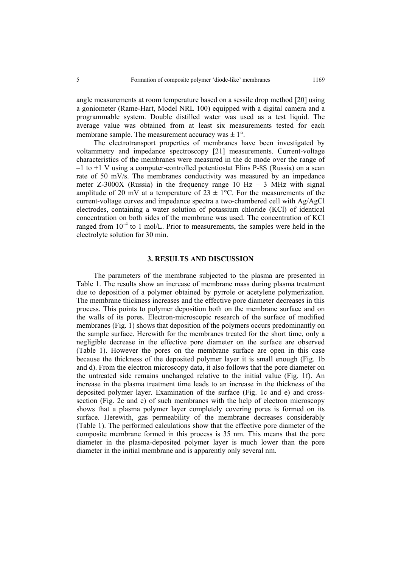angle measurements at room temperature based on a sessile drop method [20] using a goniometer (Rame-Hart, Model NRL 100) equipped with a digital camera and a programmable system. Double distilled water was used as a test liquid. The average value was obtained from at least six measurements tested for each membrane sample. The measurement accuracy was  $\pm 1^{\circ}$ .

The electrotransport properties of membranes have been investigated by voltammetry and impedance spectroscopy [21] measurements. Current-voltage characteristics of the membranes were measured in the dc mode over the range of  $-1$  to  $+1$  V using a computer-controlled potentiostat Elins P-8S (Russia) on a scan rate of 50 mV/s. The membranes conductivity was measured by an impedance meter Z-3000X (Russia) in the frequency range 10 Hz  $-$  3 MHz with signal amplitude of 20 mV at a temperature of  $23 \pm 1$ °C. For the measurements of the current-voltage curves and impedance spectra a two-chambered cell with Ag/AgCl electrodes, containing a water solution of potassium chloride (KCl) of identical concentration on both sides of the membrane was used. The concentration of KCl ranged from  $10^{-4}$  to 1 mol/L. Prior to measurements, the samples were held in the electrolyte solution for 30 min.

#### **3. RESULTS AND DISCUSSION**

The parameters of the membrane subjected to the plasma are presented in Table 1. The results show an increase of membrane mass during plasma treatment due to deposition of a polymer obtained by pyrrole or acetylene polymerization. The membrane thickness increases and the effective pore diameter decreases in this process. This points to polymer deposition both on the membrane surface and on the walls of its pores. Electron-microscopic research of the surface of modified membranes (Fig. 1) shows that deposition of the polymers occurs predominantly on the sample surface. Herewith for the membranes treated for the short time, only a negligible decrease in the effective pore diameter on the surface are observed (Table 1). However the pores on the membrane surface are open in this case because the thickness of the deposited polymer layer it is small enough (Fig. 1b and d). From the electron microscopy data, it also follows that the pore diameter on the untreated side remains unchanged relative to the initial value (Fig. 1f). An increase in the plasma treatment time leads to an increase in the thickness of the deposited polymer layer. Examination of the surface (Fig. 1c and e) and crosssection (Fig. 2c and e) of such membranes with the help of electron microscopy shows that a plasma polymer layer completely covering pores is formed on its surface. Herewith, gas permeability of the membrane decreases considerably (Table 1). The performed calculations show that the effective pore diameter of the composite membrane formed in this process is 35 nm. This means that the pore diameter in the plasma-deposited polymer layer is much lower than the pore diameter in the initial membrane and is apparently only several nm.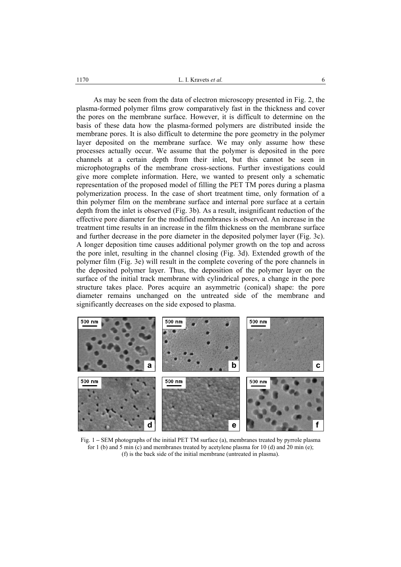As may be seen from the data of electron microscopy presented in Fig. 2, the plasma-formed polymer films grow comparatively fast in the thickness and cover the pores on the membrane surface. However, it is difficult to determine on the basis of these data how the plasma-formed polymers are distributed inside the membrane pores. It is also difficult to determine the pore geometry in the polymer layer deposited on the membrane surface. We may only assume how these processes actually occur. We assume that the polymer is deposited in the pore channels at a certain depth from their inlet, but this cannot be seen in microphotographs of the membrane cross-sections. Further investigations could give more complete information. Here, we wanted to present only a schematic representation of the proposed model of filling the PET TM pores during a plasma polymerization process. In the case of short treatment time, only formation of a thin polymer film on the membrane surface and internal pore surface at a certain depth from the inlet is observed (Fig. 3b). As a result, insignificant reduction of the effective pore diameter for the modified membranes is observed. An increase in the treatment time results in an increase in the film thickness on the membrane surface and further decrease in the pore diameter in the deposited polymer layer (Fig. 3c). A longer deposition time causes additional polymer growth on the top and across the pore inlet, resulting in the channel closing (Fig. 3d). Extended growth of the polymer film (Fig. 3e) will result in the complete covering of the pore channels in the deposited polymer layer. Thus, the deposition of the polymer layer on the surface of the initial track membrane with cylindrical pores, a change in the pore structure takes place. Pores acquire an asymmetric (conical) shape: the pore diameter remains unchanged on the untreated side of the membrane and significantly decreases on the side exposed to plasma.



Fig. 1 **–** SEM photographs of the initial PET TM surface (a), membranes treated by pyrrole plasma for 1 (b) and 5 min (c) and membranes treated by acetylene plasma for 10 (d) and 20 min (e); (f) is the back side of the initial membrane (untreated in plasma).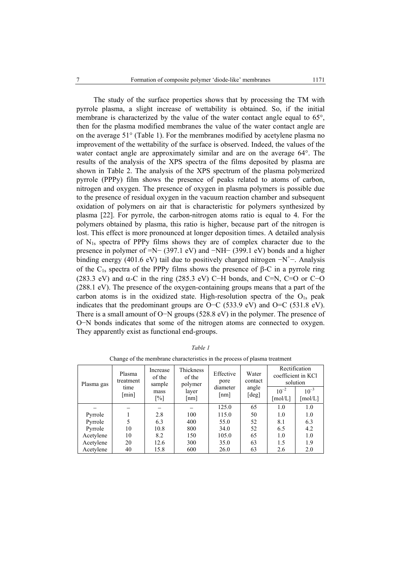The study of the surface properties shows that by processing the TM with pyrrole plasma, a slight increase of wettability is obtained. So, if the initial membrane is characterized by the value of the water contact angle equal to 65°, then for the plasma modified membranes the value of the water contact angle are on the average 51° (Table 1). For the membranes modified by acetylene plasma no improvement of the wettability of the surface is observed. Indeed, the values of the water contact angle are approximately similar and are on the average 64°. The results of the analysis of the XPS spectra of the films deposited by plasma are shown in Table 2. The analysis of the XPS spectrum of the plasma polymerized pyrrole (PPPy) film shows the presence of peaks related to atoms of carbon, nitrogen and oxygen. The presence of oxygen in plasma polymers is possible due to the presence of residual oxygen in the vacuum reaction chamber and subsequent oxidation of polymers on air that is characteristic for polymers synthesized by plasma [22]. For pyrrole, the carbon-nitrogen atoms ratio is equal to 4. For the polymers obtained by plasma, this ratio is higher, because part of the nitrogen is lost. This effect is more pronounced at longer deposition times. A detailed analysis of  $N_{1s}$  spectra of PPPy films shows they are of complex character due to the presence in polymer of =N− (397.1 eV) and −NH− (399.1 eV) bonds and a higher binding energy (401.6 eV) tail due to positively charged nitrogen  $-N^+$ –. Analysis of the C<sub>1s</sub> spectra of the PPPy films shows the presence of β-C in a pyrrole ring (283.3 eV) and  $\alpha$ -C in the ring (285.3 eV) C−H bonds, and C=N, C=O or C−O (288.1 eV). The presence of the oxygen-containing groups means that a part of the carbon atoms is in the oxidized state. High-resolution spectra of the  $O<sub>1s</sub>$  peak indicates that the predominant groups are O−C (533.9 eV) and O=C (531.8 eV). There is a small amount of O−N groups (528.8 eV) in the polymer. The presence of O−N bonds indicates that some of the nitrogen atoms are connected to oxygen. They apparently exist as functional end-groups.

| Plasma gas | Plasma<br>treatment<br>time<br>[min] | Increase<br>of the<br>sample<br>mass<br>$[\%]$ | Thickness<br>of the<br>polymer<br>laver<br>[nm] | Effective<br>pore<br>diameter<br>$\lceil nm \rceil$ | Water<br>contact<br>angle<br>[deg] | Rectification<br>coefficient in KCl<br>solution |                                           |
|------------|--------------------------------------|------------------------------------------------|-------------------------------------------------|-----------------------------------------------------|------------------------------------|-------------------------------------------------|-------------------------------------------|
|            |                                      |                                                |                                                 |                                                     |                                    | $10^{-2}$<br>$\lceil \text{mol/L} \rceil$       | $10^{-3}$<br>$\lceil \text{mol/L} \rceil$ |
|            |                                      |                                                |                                                 | 125.0                                               | 65                                 | 1.0                                             | 1.0                                       |
| Pyrrole    |                                      | 2.8                                            | 100                                             | 115.0                                               | 50                                 | 1.0                                             | 1.0                                       |
| Pyrrole    |                                      | 6.3                                            | 400                                             | 55.0                                                | 52                                 | 8.1                                             | 6.3                                       |
| Pyrrole    | 10                                   | 10.8                                           | 800                                             | 34.0                                                | 52                                 | 6.5                                             | 4.2                                       |
| Acetylene  | 10                                   | 8.2                                            | 150                                             | 105.0                                               | 65                                 | 1.0                                             | 1.0                                       |
| Acetylene  | 20                                   | 12.6                                           | 300                                             | 35.0                                                | 63                                 | 1.5                                             | 1.9                                       |
| Acetylene  | 40                                   | 15.8                                           | 600                                             | 26.0                                                | 63                                 | 2.6                                             | 2.0                                       |

*Table 1* 

Change of the membrane characteristics in the process of plasma treatment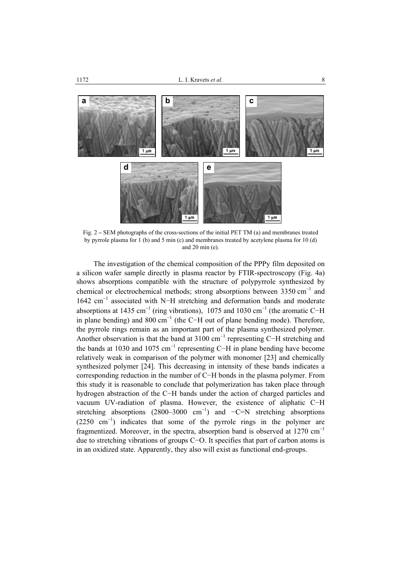

Fig. 2 **–** SEM photographs of the cross-sections of the initial PET TM (a) and membranes treated by pyrrole plasma for 1 (b) and 5 min (c) and membranes treated by acetylene plasma for 10 (d) and 20 min (e).

The investigation of the chemical composition of the PPPy film deposited on a silicon wafer sample directly in plasma reactor by FTIR-spectroscopy (Fig. 4a) shows absorptions compatible with the structure of polypyrrole synthesized by chemical or electrochemical methods; strong absorptions between  $3350 \text{ cm}^{-1}$  and 1642 cm<sup>−</sup><sup>1</sup> associated with N−H stretching and deformation bands and moderate absorptions at 1435 cm<sup>-1</sup> (ring vibrations), 1075 and 1030 cm<sup>-1</sup> (the aromatic C-H in plane bending) and 800 cm<sup>-1</sup> (the C−H out of plane bending mode). Therefore, the pyrrole rings remain as an important part of the plasma synthesized polymer. Another observation is that the band at  $3100 \text{ cm}^{-1}$  representing C–H stretching and the bands at 1030 and 1075 cm<sup>-1</sup> representing C-H in plane bending have become relatively weak in comparison of the polymer with monomer [23] and chemically synthesized polymer [24]. This decreasing in intensity of these bands indicates a corresponding reduction in the number of C−H bonds in the plasma polymer. From this study it is reasonable to conclude that polymerization has taken place through hydrogen abstraction of the C−H bands under the action of charged particles and vacuum UV-radiation of plasma. However, the existence of aliphatic C−H stretching absorptions  $(2800-3000 \text{ cm}^{-1})$  and  $-C=N$  stretching absorptions (2250 cm<sup>−</sup><sup>1</sup> ) indicates that some of the pyrrole rings in the polymer are fragmentized. Moreover, in the spectra, absorption band is observed at  $1270 \text{ cm}^{-1}$ due to stretching vibrations of groups C−O. It specifies that part of carbon atoms is in an oxidized state. Apparently, they also will exist as functional end-groups.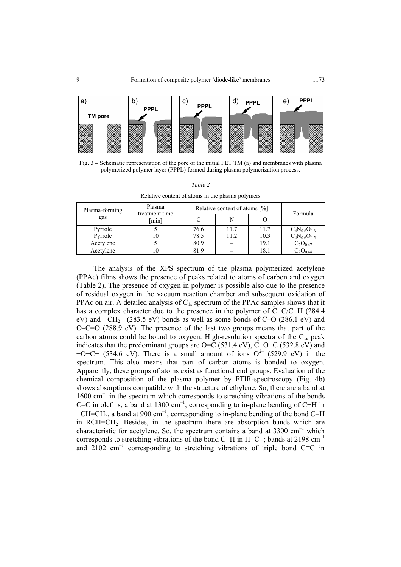

Fig. 3 **–** Schematic representation of the pore of the initial PET TM (a) and membranes with plasma polymerized polymer layer (PPPL) formed during plasma polymerization process.

|--|--|

Relative content of atoms in the plasma polymers

| Plasma-forming | Plasma<br>treatment time | Relative content of atoms [%] | Formula |      |                     |
|----------------|--------------------------|-------------------------------|---------|------|---------------------|
| gas            | minl                     |                               |         |      |                     |
| Pyrrole        |                          | 76.6                          | 11.7    | 11.7 | $C_4N_{0.6}O_{0.6}$ |
| Pyrrole        | 10                       | 78.5                          | 11.2    | 10.3 | $C_4N_{0.6}O_{0.5}$ |
| Acetylene      |                          | 80.9                          |         | 19.1 | $C_2O_{0.47}$       |
| Acetylene      | 10                       | 81.9                          |         | 18.1 | $C_2O_{0.44}$       |

The analysis of the XPS spectrum of the plasma polymerized acetylene (PPAc) films shows the presence of peaks related to atoms of carbon and oxygen (Table 2). The presence of oxygen in polymer is possible also due to the presence of residual oxygen in the vacuum reaction chamber and subsequent oxidation of PPAc on air. A detailed analysis of  $C_{1s}$  spectrum of the PPAc samples shows that it has a complex character due to the presence in the polymer of C−C/C−H (284.4 eV) and  $\text{-CH}_2$  (283.5 eV) bonds as well as some bonds of C–O (286.1 eV) and O–C=O (288.9 eV). The presence of the last two groups means that part of the carbon atoms could be bound to oxygen. High-resolution spectra of the  $C_{1s}$  peak indicates that the predominant groups are O=C (531.4 eV), C–O–C (532.8 eV) and  $-O-C-$  (534.6 eV). There is a small amount of ions  $O^{2-}$  (529.9 eV) in the spectrum. This also means that part of carbon atoms is bonded to oxygen. Apparently, these groups of atoms exist as functional end groups. Evaluation of the chemical composition of the plasma polymer by FTIR-spectroscopy (Fig. 4b) shows absorptions compatible with the structure of ethylene. So, there are a band at  $1600 \text{ cm}^{-1}$  in the spectrum which corresponds to stretching vibrations of the bonds C=C in olefins, a band at 1300 cm<sup>-1</sup>, corresponding to in-plane bending of C−H in −CH=CH2, a band at 900 cm–1, corresponding to in-plane bending of the bond C−H in RCH=CH2. Besides, in the spectrum there are absorption bands which are characteristic for acetylene. So, the spectrum contains a band at  $3300 \text{ cm}^{-1}$  which corresponds to stretching vibrations of the bond C−H in H−C≡; bands at 2198 cm–1 and  $2102 \text{ cm}^{-1}$  corresponding to stretching vibrations of triple bond C≡C in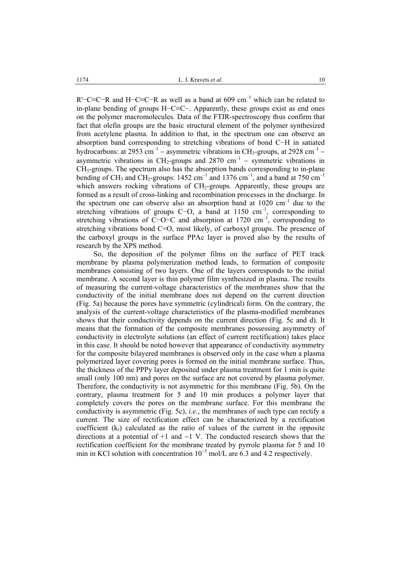R'−C≡C−R and H−C≡C−R as well as a band at 609 cm–1 which can be related to in-plane bending of groups H−C≡C−. Apparently, these groups exist as end ones on the polymer macromolecules. Data of the FTIR-spectroscopy thus confirm that fact that olefin groups are the basic structural element of the polymer synthesized from acetylene plasma. In addition to that, in the spectrum one can observe an absorption band corresponding to stretching vibrations of bond C−H in satiated hydrocarbons: at 2953 cm<sup>-1</sup> – asymmetric vibrations in CH<sub>3</sub>-groups, at 2928 cm<sup>-1</sup> – asymmetric vibrations in CH<sub>2</sub>-groups and 2870 cm<sup>-1</sup> – symmetric vibrations in СН3-groups. The spectrum also has the absorption bands corresponding to in-plane bending of CH<sub>3</sub> and CH<sub>2</sub>-groups: 1452 cm<sup>-1</sup> and 1376 cm<sup>-1</sup>, and a band at 750 cm<sup>-1</sup> which answers rocking vibrations of  $CH<sub>2</sub>$ -groups. Apparently, these groups are formed as a result of cross-linking and recombination processes in the discharge. In the spectrum one can observe also an absorption band at  $1020 \text{ cm}^{-1}$  due to the stretching vibrations of groups C−O, a band at 1150 cm<sup>-1</sup>, corresponding to stretching vibrations of C−O−C and absorption at 1720 cm<sup>-1</sup>, corresponding to stretching vibrations bond C=O, most likely, of carboxyl groups. The presence of the carboxyl groups in the surface PPAc layer is proved also by the results of research by the XPS method.

So, the deposition of the polymer films on the surface of PET track membrane by plasma polymerization method leads, to formation of composite membranes consisting of two layers. One of the layers corresponds to the initial membrane. A second layer is thin polymer film synthesized in plasma. The results of measuring the current-voltage characteristics of the membranes show that the conductivity of the initial membrane does not depend on the current direction (Fig. 5a) because the pores have symmetric (cylindrical) form. On the contrary, the analysis of the current-voltage characteristics of the plasma-modified membranes shows that their conductivity depends on the current direction (Fig. 5c and d). It means that the formation of the composite membranes possessing asymmetry of conductivity in electrolyte solutions (an effect of current rectification) takes place in this case. It should be noted however that appearance of conductivity asymmetry for the composite bilayered membranes is observed only in the case when a plasma polymerized layer covering pores is formed on the initial membrane surface. Thus, the thickness of the PPPy layer deposited under plasma treatment for 1 min is quite small (only 100 nm) and pores on the surface are not covered by plasma polymer. Therefore, the conductivity is not asymmetric for this membrane (Fig. 5b). On the contrary, plasma treatment for 5 and 10 min produces a polymer layer that completely covers the pores on the membrane surface. For this membrane the conductivity is asymmetric (Fig. 5c), *i.e.*, the membranes of such type can rectify a current. The size of rectification effect can be characterized by a rectification coefficient  $(k<sub>r</sub>)$  calculated as the ratio of values of the current in the opposite directions at a potential of  $+1$  and  $-1$  V. The conducted research shows that the rectification coefficient for the membrane treated by pyrrole plasma for 5 and 10 min in KCl solution with concentration  $10^{-3}$  mol/L are 6.3 and 4.2 respectively.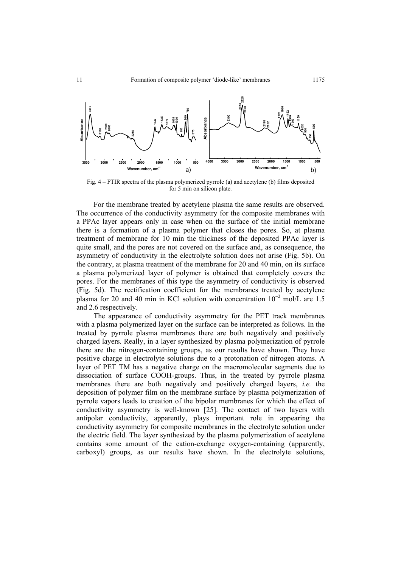

Fig. 4 – FTIR spectra of the plasma polymerized pyrrole (a) and acetylene (b) films deposited for 5 min on silicon plate.

For the membrane treated by acetylene plasma the same results are observed. The occurrence of the conductivity asymmetry for the composite membranes with a PPAc layer appears only in case when on the surface of the initial membrane there is a formation of a plasma polymer that closes the pores. So, at plasma treatment of membrane for 10 min the thickness of the deposited PPAc layer is quite small, and the pores are not covered on the surface and, as consequence, the asymmetry of conductivity in the electrolyte solution does not arise (Fig. 5b). On the contrary, at plasma treatment of the membrane for 20 and 40 min, on its surface a plasma polymerized layer of polymer is obtained that completely covers the pores. For the membranes of this type the asymmetry of conductivity is observed (Fig. 5d). The rectification coefficient for the membranes treated by acetylene plasma for 20 and 40 min in KCl solution with concentration  $10^{-2}$  mol/L are 1.5 and 2.6 respectively.

The appearance of conductivity asymmetry for the PET track membranes with a plasma polymerized layer on the surface can be interpreted as follows. In the treated by pyrrole plasma membranes there are both negatively and positively charged layers. Really, in a layer synthesized by plasma polymerization of pyrrole there are the nitrogen-containing groups, as our results have shown. They have positive charge in electrolyte solutions due to a protonation of nitrogen atoms. A layer of PET TM has a negative charge on the macromolecular segments due to dissociation of surface СООН-groups. Thus, in the treated by pyrrole plasma membranes there are both negatively and positively charged layers, *i.e.* the deposition of polymer film on the membrane surface by plasma polymerization of pyrrole vapors leads to creation of the bipolar membranes for which the effect of conductivity asymmetry is well-known [25]. The contact of two layers with antipolar conductivity, apparently, plays important role in appearing the conductivity asymmetry for composite membranes in the electrolyte solution under the electric field. The layer synthesized by the plasma polymerization of acetylene contains some amount of the cation-exchange oxygen-containing (apparently, carboxyl) groups, as our results have shown. In the electrolyte solutions,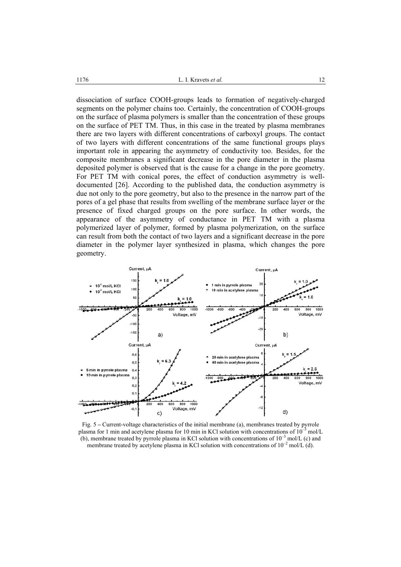dissociation of surface СООН-groups leads to formation of negatively-charged segments on the polymer chains too. Certainly, the concentration of COOH-groups on the surface of plasma polymers is smaller than the concentration of these groups on the surface of PET TM. Thus, in this case in the treated by plasma membranes there are two layers with different concentrations of carboxyl groups. The contact of two layers with different concentrations of the same functional groups plays important role in appearing the asymmetry of conductivity too. Besides, for the composite membranes a significant decrease in the pore diameter in the plasma deposited polymer is observed that is the cause for a change in the pore geometry. For PET TM with conical pores, the effect of conduction asymmetry is welldocumented [26]. According to the published data, the conduction asymmetry is due not only to the pore geometry, but also to the presence in the narrow part of the pores of a gel phase that results from swelling of the membrane surface layer or the presence of fixed charged groups on the pore surface. In other words, the appearance of the asymmetry of conductance in PET TM with a plasma polymerized layer of polymer, formed by plasma polymerization, on the surface can result from both the contact of two layers and a significant decrease in the pore diameter in the polymer layer synthesized in plasma, which changes the pore geometry.



Fig. 5 **–** Current-voltage characteristics of the initial membrane (a), membranes treated by pyrrole plasma for 1 min and acetylene plasma for 10 min in KCl solution with concentrations of  $10^{-3}$  mol/L (b), membrane treated by pyrrole plasma in KCl solution with concentrations of  $10^{-3}$  mol/L (c) and membrane treated by acetylene plasma in KCl solution with concentrations of  $10^{-2}$  mol/L (d).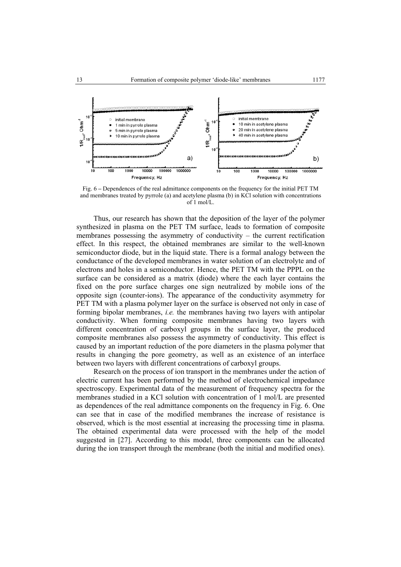

Fig. 6 **–** Dependences of the real admittance components on the frequency for the initial PET TM and membranes treated by pyrrole (a) and acetylene plasma (b) in KCl solution with concentrations of 1 mol/L.

Thus, our research has shown that the deposition of the layer of the polymer synthesized in plasma on the PET TM surface, leads to formation of composite membranes possessing the asymmetry of conductivity – the current rectification effect. In this respect, the obtained membranes are similar to the well-known semiconductor diode, but in the liquid state. There is a formal analogy between the conductance of the developed membranes in water solution of an electrolyte and of electrons and holes in a semiconductor. Hence, the PET TM with the PPPL on the surface can be considered as a matrix (diode) where the each layer contains the fixed on the pore surface charges one sign neutralized by mobile ions of the opposite sign (counter-ions). The appearance of the conductivity asymmetry for PET TM with a plasma polymer layer on the surface is observed not only in case of forming bipolar membranes, *i.e.* the membranes having two layers with antipolar conductivity. When forming composite membranes having two layers with different concentration of carboxyl groups in the surface layer, the produced composite membranes also possess the asymmetry of conductivity. This effect is caused by an important reduction of the pore diameters in the plasma polymer that results in changing the pore geometry, as well as an existence of an interface between two layers with different concentrations of carboxyl groups.

Research on the process of ion transport in the membranes under the action of electric current has been performed by the method of electrochemical impedance spectroscopy. Experimental data of the measurement of frequency spectra for the membranes studied in a KCl solution with concentration of 1 mol/L are presented as dependences of the real admittance components on the frequency in Fig. 6. One can see that in case of the modified membranes the increase of resistance is observed, which is the most essential at increasing the processing time in plasma. The obtained experimental data were processed with the help of the model suggested in [27]. According to this model, three components can be allocated during the ion transport through the membrane (both the initial and modified ones).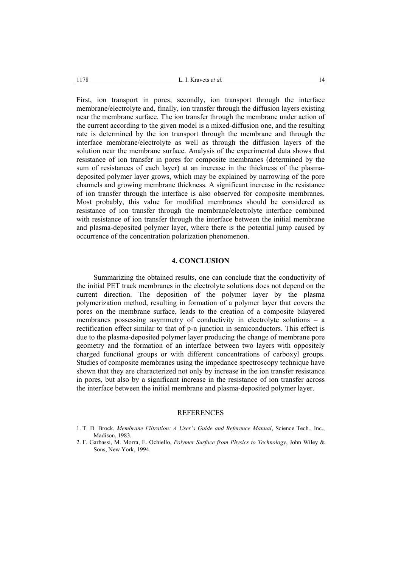First, ion transport in pores; secondly, ion transport through the interface membrane/electrolyte and, finally, ion transfer through the diffusion layers existing near the membrane surface. The ion transfer through the membrane under action of the current according to the given model is a mixed-diffusion one, and the resulting rate is determined by the ion transport through the membrane and through the interface membrane/electrolyte as well as through the diffusion layers of the solution near the membrane surface. Analysis of the experimental data shows that resistance of ion transfer in pores for composite membranes (determined by the sum of resistances of each layer) at an increase in the thickness of the plasmadeposited polymer layer grows, which may be explained by narrowing of the pore channels and growing membrane thickness. A significant increase in the resistance of ion transfer through the interface is also observed for composite membranes. Most probably, this value for modified membranes should be considered as resistance of ion transfer through the membrane/electrolyte interface combined with resistance of ion transfer through the interface between the initial membrane and plasma-deposited polymer layer, where there is the potential jump caused by occurrence of the concentration polarization phenomenon.

#### **4. CONCLUSION**

Summarizing the obtained results, one can conclude that the conductivity of the initial PET track membranes in the electrolyte solutions does not depend on the current direction. The deposition of the polymer layer by the plasma polymerization method, resulting in formation of a polymer layer that covers the pores on the membrane surface, leads to the creation of a composite bilayered membranes possessing asymmetry of conductivity in electrolyte solutions – a rectification effect similar to that of p-n junction in semiconductors. This effect is due to the plasma-deposited polymer layer producing the change of membrane pore geometry and the formation of an interface between two layers with oppositely charged functional groups or with different concentrations of carboxyl groups. Studies of composite membranes using the impedance spectroscopy technique have shown that they are characterized not only by increase in the ion transfer resistance in pores, but also by a significant increase in the resistance of ion transfer across the interface between the initial membrane and plasma-deposited polymer layer.

### **REFERENCES**

1. T. D. Brock, *Membrane Filtration: A User's Guide and Reference Manual*, Science Tech., Inc., Madison, 1983.

<sup>2.</sup> F. Garbassi, M. Morra, E. Ochiello, *Polymer Surface from Physics to Technology*, John Wiley & Sons, New York, 1994.